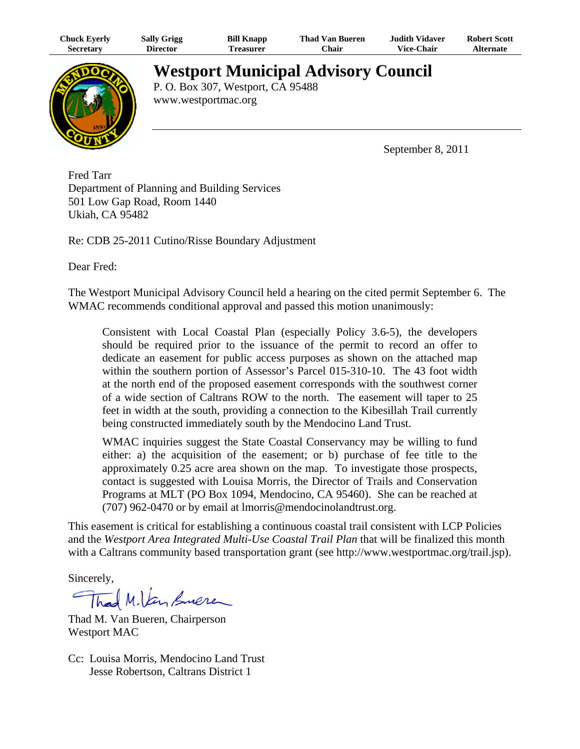| <b>Chuck Eyerly</b> | <b>Sally Grigg</b> | <b>Bill Knapp</b> | <b>Thad Van Bueren</b> | Judith Vidaver    | <b>Robert Scott</b> |
|---------------------|--------------------|-------------------|------------------------|-------------------|---------------------|
| <b>Secretary</b>    | <b>Director</b>    | l`reasurer        | <b>Chair</b>           | <b>Vice-Chair</b> | Alternate           |



**Westport Municipal Advisory Council**

P. O. Box 307, Westport, CA 95488 www.westportmac.org

September 8, 2011

Fred Tarr Department of Planning and Building Services 501 Low Gap Road, Room 1440 Ukiah, CA 95482

Re: CDB 25-2011 Cutino/Risse Boundary Adjustment

Dear Fred:

The Westport Municipal Advisory Council held a hearing on the cited permit September 6. The WMAC recommends conditional approval and passed this motion unanimously:

Consistent with Local Coastal Plan (especially Policy 3.6-5), the developers should be required prior to the issuance of the permit to record an offer to dedicate an easement for public access purposes as shown on the attached map within the southern portion of Assessor's Parcel 015-310-10. The 43 foot width at the north end of the proposed easement corresponds with the southwest corner of a wide section of Caltrans ROW to the north. The easement will taper to 25 feet in width at the south, providing a connection to the Kibesillah Trail currently being constructed immediately south by the Mendocino Land Trust.

WMAC inquiries suggest the State Coastal Conservancy may be willing to fund either: a) the acquisition of the easement; or b) purchase of fee title to the approximately 0.25 acre area shown on the map. To investigate those prospects, contact is suggested with Louisa Morris, the Director of Trails and Conservation Programs at MLT (PO Box 1094, Mendocino, CA 95460). She can be reached at (707) 962-0470 or by email at lmorris@mendocinolandtrust.org.

This easement is critical for establishing a continuous coastal trail consistent with LCP Policies and the *Westport Area Integrated Multi-Use Coastal Trail Plan* that will be finalized this month with a Caltrans community based transportation grant (see http://www.westportmac.org/trail.jsp).

Sincerely,

Thad M. Van Suere

Thad M. Van Bueren, Chairperson Westport MAC

Cc: Louisa Morris, Mendocino Land Trust Jesse Robertson, Caltrans District 1